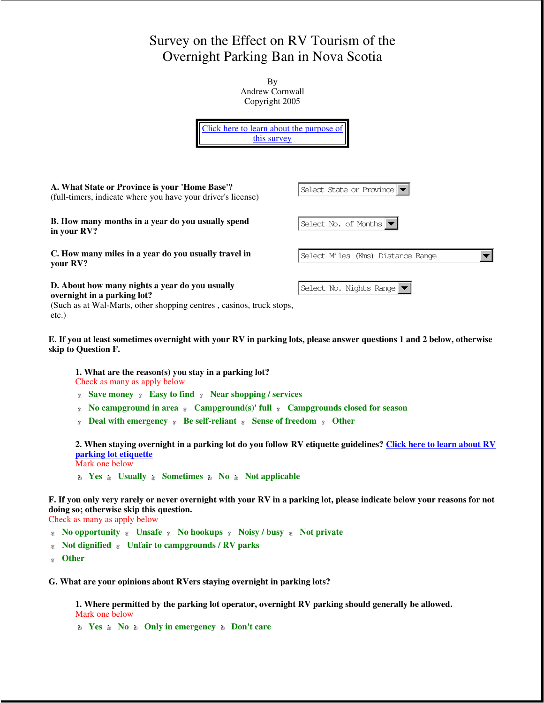## Survey on the Effect on RV Tourism of the Overnight Parking Ban in Nova Scotia

By Andrew Cornwall Copyright 2005



(Such as at Wal-Marts, other shopping centres , casinos, truck stops, etc.)

## **E. If you at least sometimes overnight with your RV in parking lots, please answer questions 1 and 2 below, otherwise skip to Question F.**

**1. What are the reason(s) you stay in a parking lot?** Check as many as apply below

**Save money γ Easy to find γ Near shopping / services** 

- *«* No campground in area  $\alpha$  Campground(s)' full  $\alpha$  Campgrounds closed for season
- **EXECUTE:** Deal with emergency **Real interpretational** *R* Sense of freedom **R** Other

**2. When staying overnight in a parking lot do you follow RV etiquette guidelines? Click here to learn about RV parking lot etiquette**

Mark one below

**No Yes A** Usually **A** Sometimes **A** No **A** Not applicable

**F. If you only very rarely or never overnight with your RV in a parking lot, please indicate below your reasons for not doing so; otherwise skip this question.**

Check as many as apply below

**No opportunity γ Unsafe γ No hookups γ Noisy / busy γ Not private** 

- **Not dignified Unfair to campgrounds / RV parks** γφεδχ γφεδχ
- **Other**   $φ_5$

**G. What are your opinions about RVers staying overnight in parking lots?**

**1. Where permitted by the parking lot operator, overnight RV parking should generally be allowed.**  Mark one below

**No A Only in emergency A Don't care**